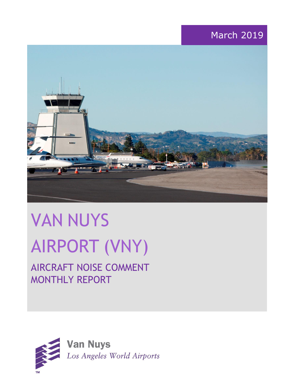# March 2019



# VAN NUYS AIRPORT (VNY)

# AIRCRAFT NOISE COMMENT MONTHLY REPORT

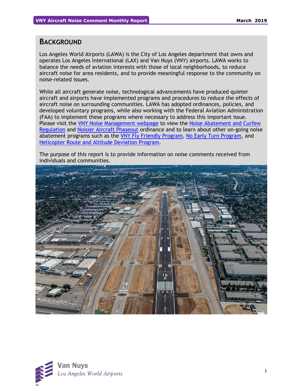### **BACKGROUND**

Los Angeles World Airports (LAWA) is the City of Los Angeles department that owns and operates Los Angeles International (LAX) and Van Nuys (VNY) airports. LAWA works to balance the needs of aviation interests with those of local neighborhoods, to reduce aircraft noise for area residents, and to provide meaningful response to the community on noise-related issues.

While all aircraft generate noise, technological advancements have produced quieter aircraft and airports have implemented programs and procedures to reduce the effects of aircraft noise on surrounding communities. LAWA has adopted ordinances, policies, and developed voluntary programs, while also working with the Federal Aviation Administration (FAA) to implement these programs where necessary to address this important issue. Please visit the [VNY Noise Management webpage](http://www.lawa.org/VNYNoise) to view the [Noise Abatement and Curfew](https://www.lawa.org/-/media/lawa-web/tenants411/file/noise_programs.ashx?la=en&hash=86DDE7D9764689AC37E24CD4FAA33C7FE9FC8DA1#"page=7" )  [Regulation](https://www.lawa.org/-/media/lawa-web/tenants411/file/noise_programs.ashx?la=en&hash=86DDE7D9764689AC37E24CD4FAA33C7FE9FC8DA1#"page=7" ) and [Noisier Aircraft Phaseout](https://www.lawa.org/-/media/lawa-web/tenants411/file/noise_programs.ashx?la=en&hash=86DDE7D9764689AC37E24CD4FAA33C7FE9FC8DA1#page=7) ordinance and to learn about other on-going noise abatement programs such as the [VNY Fly Friendly Program,](https://www.lawa.org/en/lawa-environment/noise-management/van-nuys/vny-fly-friendly-quiet-departure-program) [No Early Turn Program,](https://prodcd.iflyvny.com/en/no-early-turn) and [Helicopter Route and Altitude Deviation Program.](https://www.lawa.org/-/media/lawa-web/tenants411/file/noise_programs.ashx?la=en&hash=86DDE7D9764689AC37E24CD4FAA33C7FE9FC8DA1#"page=8")

The purpose of this report is to provide information on noise comments received from individuals and communities.



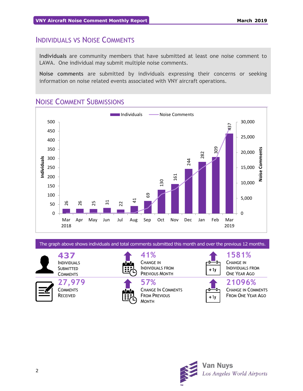# INDIVIDUALS VS NOISE COMMENTS

**Individuals** are community members that have submitted at least one noise comment to LAWA. One individual may submit multiple noise comments.

**Noise comments** are submitted by individuals expressing their concerns or seeking information on noise related events associated with VNY aircraft operations.

# NOISE COMMENT SUBMISSIONS



The graph above shows individuals and total comments submitted this month and over the previous 12 months.

**437** INDIVIDUALS **SUBMITTED COMMENTS** 

**27,979 COMMENTS** RECEIVED



**41%** CHANGE IN INDIVIDUALS FROM PREVIOUS MONTH

**57%** CHANGE IN COMMENTS FROM PREVIOUS MONTH



CHANGE IN INDIVIDUALS FROM ONE YEAR AGO

**1581%**



**21096%**

CHANGE IN COMMENTS FROM ONE YEAR AGO

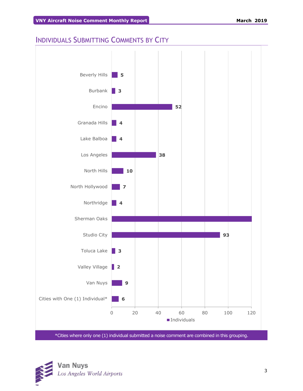# INDIVIDUALS SUBMITTING COMMENTS BY CITY



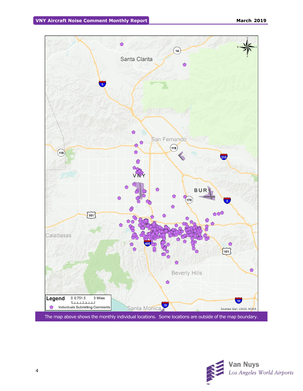

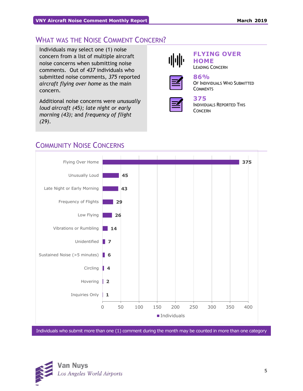# WHAT WAS THE NOISE COMMENT CONCERN?

Individuals may select one (1) noise concern from a list of multiple aircraft noise concerns when submitting noise comments. Out of *437* individuals who submitted noise comments, *375* reported *aircraft flying over home* as the main concern.

Additional noise concerns were *unusually loud aircraft (45); late night or early morning (43);* and *frequency of flight (29)*.



#### **FLYING OVER HOME** LEADING CONCERN



#### **86%** OF INDIVIDUALS WHO SUBMITTED **COMMENTS**



# **375**

INDIVIDUALS REPORTED THIS CONCERN



# COMMUNITY NOISE CONCERNS